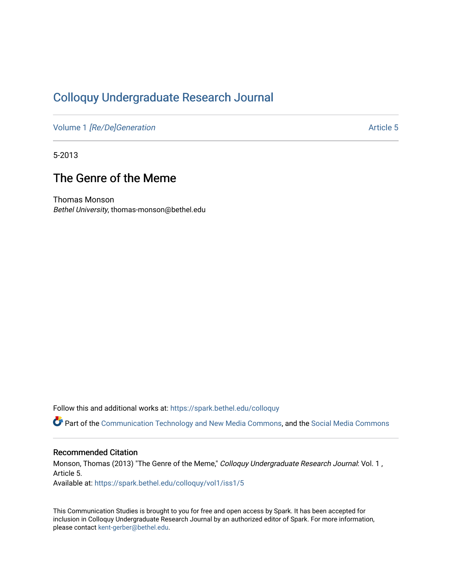# [Colloquy Undergraduate Research Journal](https://spark.bethel.edu/colloquy)

Volume 1 [\[Re/De\]Generation](https://spark.bethel.edu/colloquy/vol1) Article 5

5-2013

# The Genre of the Meme

Thomas Monson Bethel University, thomas-monson@bethel.edu

Follow this and additional works at: [https://spark.bethel.edu/colloquy](https://spark.bethel.edu/colloquy?utm_source=spark.bethel.edu%2Fcolloquy%2Fvol1%2Fiss1%2F5&utm_medium=PDF&utm_campaign=PDFCoverPages) 

Part of the [Communication Technology and New Media Commons,](http://network.bepress.com/hgg/discipline/327?utm_source=spark.bethel.edu%2Fcolloquy%2Fvol1%2Fiss1%2F5&utm_medium=PDF&utm_campaign=PDFCoverPages) and the Social Media Commons

# Recommended Citation

Monson, Thomas (2013) "The Genre of the Meme," Colloquy Undergraduate Research Journal: Vol. 1 , Article 5.

Available at: [https://spark.bethel.edu/colloquy/vol1/iss1/5](https://spark.bethel.edu/colloquy/vol1/iss1/5?utm_source=spark.bethel.edu%2Fcolloquy%2Fvol1%2Fiss1%2F5&utm_medium=PDF&utm_campaign=PDFCoverPages) 

This Communication Studies is brought to you for free and open access by Spark. It has been accepted for inclusion in Colloquy Undergraduate Research Journal by an authorized editor of Spark. For more information, please contact [kent-gerber@bethel.edu](mailto:kent-gerber@bethel.edu).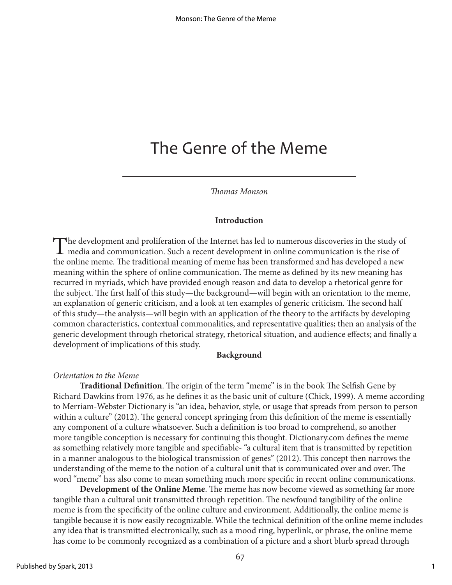# The Genre of the Meme

*Thomas Monson*

#### **Introduction**

The development and proliferation of the Internet has led to numerous discoveries in the study of media and communication. Such a recent development in online communication is the rise of the relievance of the relievance o the online meme. The traditional meaning of meme has been transformed and has developed a new meaning within the sphere of online communication. The meme as defined by its new meaning has recurred in myriads, which have provided enough reason and data to develop a rhetorical genre for the subject. The first half of this study—the background—will begin with an orientation to the meme, an explanation of generic criticism, and a look at ten examples of generic criticism. The second half of this study—the analysis—will begin with an application of the theory to the artifacts by developing common characteristics, contextual commonalities, and representative qualities; then an analysis of the generic development through rhetorical strategy, rhetorical situation, and audience effects; and finally a development of implications of this study.

#### **Background**

#### *Orientation to the Meme*

**Traditional Definition**. The origin of the term "meme" is in the book The Selfish Gene by Richard Dawkins from 1976, as he defines it as the basic unit of culture (Chick, 1999). A meme according to Merriam-Webster Dictionary is "an idea, behavior, style, or usage that spreads from person to person within a culture" (2012). The general concept springing from this definition of the meme is essentially any component of a culture whatsoever. Such a definition is too broad to comprehend, so another more tangible conception is necessary for continuing this thought. Dictionary.com defines the meme as something relatively more tangible and specifiable- "a cultural item that is transmitted by repetition in a manner analogous to the biological transmission of genes" (2012). This concept then narrows the understanding of the meme to the notion of a cultural unit that is communicated over and over. The word "meme" has also come to mean something much more specific in recent online communications.

**Development of the Online Meme**. The meme has now become viewed as something far more tangible than a cultural unit transmitted through repetition. The newfound tangibility of the online meme is from the specificity of the online culture and environment. Additionally, the online meme is tangible because it is now easily recognizable. While the technical definition of the online meme includes any idea that is transmitted electronically, such as a mood ring, hyperlink, or phrase, the online meme has come to be commonly recognized as a combination of a picture and a short blurb spread through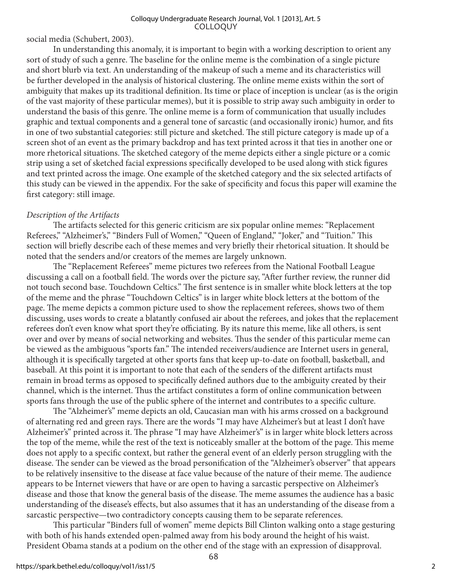social media (Schubert, 2003).

In understanding this anomaly, it is important to begin with a working description to orient any sort of study of such a genre. The baseline for the online meme is the combination of a single picture and short blurb via text. An understanding of the makeup of such a meme and its characteristics will be further developed in the analysis of historical clustering. The online meme exists within the sort of ambiguity that makes up its traditional definition. Its time or place of inception is unclear (as is the origin of the vast majority of these particular memes), but it is possible to strip away such ambiguity in order to understand the basis of this genre. The online meme is a form of communication that usually includes graphic and textual components and a general tone of sarcastic (and occasionally ironic) humor, and fits in one of two substantial categories: still picture and sketched. The still picture category is made up of a screen shot of an event as the primary backdrop and has text printed across it that ties in another one or more rhetorical situations. The sketched category of the meme depicts either a single picture or a comic strip using a set of sketched facial expressions specifically developed to be used along with stick figures and text printed across the image. One example of the sketched category and the six selected artifacts of this study can be viewed in the appendix. For the sake of specificity and focus this paper will examine the first category: still image.

# *Description of the Artifacts*

The artifacts selected for this generic criticism are six popular online memes: "Replacement Referees," "Alzheimer's," "Binders Full of Women," "Queen of England," "Joker," and "Tuition." This section will briefly describe each of these memes and very briefly their rhetorical situation. It should be noted that the senders and/or creators of the memes are largely unknown.

The "Replacement Referees" meme pictures two referees from the National Football League discussing a call on a football field. The words over the picture say, "After further review, the runner did not touch second base. Touchdown Celtics." The first sentence is in smaller white block letters at the top of the meme and the phrase "Touchdown Celtics" is in larger white block letters at the bottom of the page. The meme depicts a common picture used to show the replacement referees, shows two of them discussing, uses words to create a blatantly confused air about the referees, and jokes that the replacement referees don't even know what sport they're officiating. By its nature this meme, like all others, is sent over and over by means of social networking and websites. Thus the sender of this particular meme can be viewed as the ambiguous "sports fan." The intended receivers/audience are Internet users in general, although it is specifically targeted at other sports fans that keep up-to-date on football, basketball, and baseball. At this point it is important to note that each of the senders of the different artifacts must remain in broad terms as opposed to specifically defined authors due to the ambiguity created by their channel, which is the internet. Thus the artifact constitutes a form of online communication between sports fans through the use of the public sphere of the internet and contributes to a specific culture.

The "Alzheimer's" meme depicts an old, Caucasian man with his arms crossed on a background of alternating red and green rays. There are the words "I may have Alzheimer's but at least I don't have Alzheimer's" printed across it. The phrase "I may have Alzheimer's" is in larger white block letters across the top of the meme, while the rest of the text is noticeably smaller at the bottom of the page. This meme does not apply to a specific context, but rather the general event of an elderly person struggling with the disease. The sender can be viewed as the broad personification of the "Alzheimer's observer" that appears to be relatively insensitive to the disease at face value because of the nature of their meme. The audience appears to be Internet viewers that have or are open to having a sarcastic perspective on Alzheimer's disease and those that know the general basis of the disease. The meme assumes the audience has a basic understanding of the disease's effects, but also assumes that it has an understanding of the disease from a sarcastic perspective—two contradictory concepts causing them to be separate references.

This particular "Binders full of women" meme depicts Bill Clinton walking onto a stage gesturing with both of his hands extended open-palmed away from his body around the height of his waist. President Obama stands at a podium on the other end of the stage with an expression of disapproval.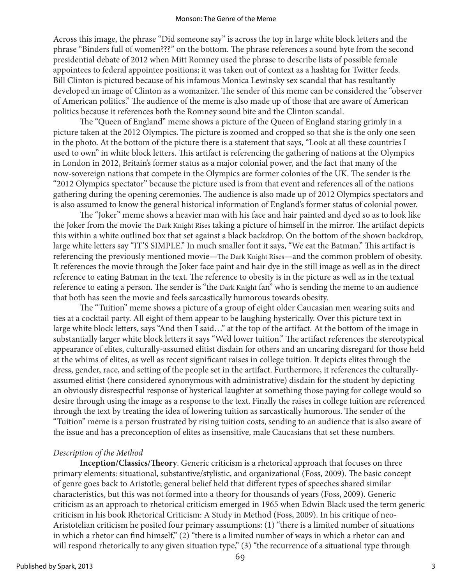Across this image, the phrase "Did someone say" is across the top in large white block letters and the phrase "Binders full of women???" on the bottom. The phrase references a sound byte from the second presidential debate of 2012 when Mitt Romney used the phrase to describe lists of possible female appointees to federal appointee positions; it was taken out of context as a hashtag for Twitter feeds. Bill Clinton is pictured because of his infamous Monica Lewinsky sex scandal that has resultantly developed an image of Clinton as a womanizer. The sender of this meme can be considered the "observer of American politics." The audience of the meme is also made up of those that are aware of American politics because it references both the Romney sound bite and the Clinton scandal.

The "Queen of England" meme shows a picture of the Queen of England staring grimly in a picture taken at the 2012 Olympics. The picture is zoomed and cropped so that she is the only one seen in the photo. At the bottom of the picture there is a statement that says, "Look at all these countries I used to own" in white block letters. This artifact is referencing the gathering of nations at the Olympics in London in 2012, Britain's former status as a major colonial power, and the fact that many of the now-sovereign nations that compete in the Olympics are former colonies of the UK. The sender is the "2012 Olympics spectator" because the picture used is from that event and references all of the nations gathering during the opening ceremonies. The audience is also made up of 2012 Olympics spectators and is also assumed to know the general historical information of England's former status of colonial power.

The "Joker" meme shows a heavier man with his face and hair painted and dyed so as to look like the Joker from the movie The Dark Knight Rises taking a picture of himself in the mirror. The artifact depicts this within a white outlined box that set against a black backdrop. On the bottom of the shown backdrop, large white letters say "IT'S SIMPLE." In much smaller font it says, "We eat the Batman." This artifact is referencing the previously mentioned movie—The Dark Knight Rises—and the common problem of obesity. It references the movie through the Joker face paint and hair dye in the still image as well as in the direct reference to eating Batman in the text. The reference to obesity is in the picture as well as in the textual reference to eating a person. The sender is "the Dark Knight fan" who is sending the meme to an audience that both has seen the movie and feels sarcastically humorous towards obesity.

The "Tuition" meme shows a picture of a group of eight older Caucasian men wearing suits and ties at a cocktail party. All eight of them appear to be laughing hysterically. Over this picture text in large white block letters, says "And then I said…" at the top of the artifact. At the bottom of the image in substantially larger white block letters it says "We'd lower tuition." The artifact references the stereotypical appearance of elites, culturally-assumed elitist disdain for others and an uncaring disregard for those held at the whims of elites, as well as recent significant raises in college tuition. It depicts elites through the dress, gender, race, and setting of the people set in the artifact. Furthermore, it references the culturallyassumed elitist (here considered synonymous with administrative) disdain for the student by depicting an obviously disrespectful response of hysterical laughter at something those paying for college would so desire through using the image as a response to the text. Finally the raises in college tuition are referenced through the text by treating the idea of lowering tuition as sarcastically humorous. The sender of the "Tuition" meme is a person frustrated by rising tuition costs, sending to an audience that is also aware of the issue and has a preconception of elites as insensitive, male Caucasians that set these numbers.

# *Description of the Method*

**Inception/Classics/Theory**. Generic criticism is a rhetorical approach that focuses on three primary elements: situational, substantive/stylistic, and organizational (Foss, 2009). The basic concept of genre goes back to Aristotle; general belief held that different types of speeches shared similar characteristics, but this was not formed into a theory for thousands of years (Foss, 2009). Generic criticism as an approach to rhetorical criticism emerged in 1965 when Edwin Black used the term generic criticism in his book Rhetorical Criticism: A Study in Method (Foss, 2009). In his critique of neo-Aristotelian criticism he posited four primary assumptions: (1) "there is a limited number of situations in which a rhetor can find himself," (2) "there is a limited number of ways in which a rhetor can and will respond rhetorically to any given situation type," (3) "the recurrence of a situational type through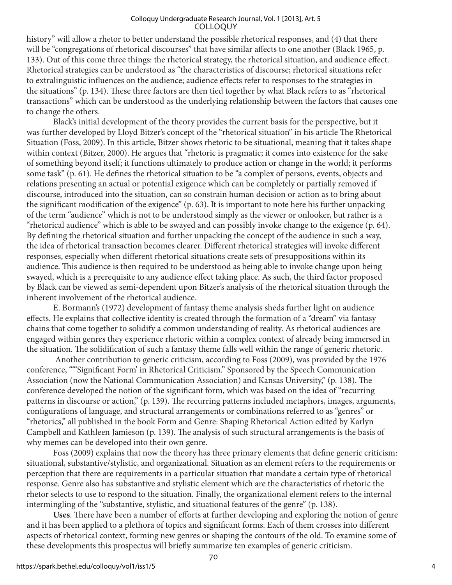history" will allow a rhetor to better understand the possible rhetorical responses, and (4) that there will be "congregations of rhetorical discourses" that have similar affects to one another (Black 1965, p. 133). Out of this come three things: the rhetorical strategy, the rhetorical situation, and audience effect. Rhetorical strategies can be understood as "the characteristics of discourse; rhetorical situations refer to extralinguistic influences on the audience; audience effects refer to responses to the strategies in the situations" (p. 134). These three factors are then tied together by what Black refers to as "rhetorical transactions" which can be understood as the underlying relationship between the factors that causes one to change the others.

Black's initial development of the theory provides the current basis for the perspective, but it was further developed by Lloyd Bitzer's concept of the "rhetorical situation" in his article The Rhetorical Situation (Foss, 2009). In this article, Bitzer shows rhetoric to be situational, meaning that it takes shape within context (Bitzer, 2000). He argues that "rhetoric is pragmatic; it comes into existence for the sake of something beyond itself; it functions ultimately to produce action or change in the world; it performs some task" (p. 61). He defines the rhetorical situation to be "a complex of persons, events, objects and relations presenting an actual or potential exigence which can be completely or partially removed if discourse, introduced into the situation, can so constrain human decision or action as to bring about the significant modification of the exigence" (p. 63). It is important to note here his further unpacking of the term "audience" which is not to be understood simply as the viewer or onlooker, but rather is a "rhetorical audience" which is able to be swayed and can possibly invoke change to the exigence (p. 64). By defining the rhetorical situation and further unpacking the concept of the audience in such a way, the idea of rhetorical transaction becomes clearer. Different rhetorical strategies will invoke different responses, especially when different rhetorical situations create sets of presuppositions within its audience. This audience is then required to be understood as being able to invoke change upon being swayed, which is a prerequisite to any audience effect taking place. As such, the third factor proposed by Black can be viewed as semi-dependent upon Bitzer's analysis of the rhetorical situation through the inherent involvement of the rhetorical audience.

E. Bormann's (1972) development of fantasy theme analysis sheds further light on audience effects. He explains that collective identity is created through the formation of a "dream" via fantasy chains that come together to solidify a common understanding of reality. As rhetorical audiences are engaged within genres they experience rhetoric within a complex context of already being immersed in the situation. The solidification of such a fantasy theme falls well within the range of generic rhetoric.

 Another contribution to generic criticism, according to Foss (2009), was provided by the 1976 conference, ""'Significant Form' in Rhetorical Criticism." Sponsored by the Speech Communication Association (now the National Communication Association) and Kansas University," (p. 138). The conference developed the notion of the significant form, which was based on the idea of "recurring patterns in discourse or action," (p. 139). The recurring patterns included metaphors, images, arguments, configurations of language, and structural arrangements or combinations referred to as "genres" or "rhetorics," all published in the book Form and Genre: Shaping Rhetorical Action edited by Karlyn Campbell and Kathleen Jamieson (p. 139). The analysis of such structural arrangements is the basis of why memes can be developed into their own genre.

Foss (2009) explains that now the theory has three primary elements that define generic criticism: situational, substantive/stylistic, and organizational. Situation as an element refers to the requirements or perception that there are requirements in a particular situation that mandate a certain type of rhetorical response. Genre also has substantive and stylistic element which are the characteristics of rhetoric the rhetor selects to use to respond to the situation. Finally, the organizational element refers to the internal intermingling of the "substantive, stylistic, and situational features of the genre" (p. 138).

**Uses**. There have been a number of efforts at further developing and exploring the notion of genre and it has been applied to a plethora of topics and significant forms. Each of them crosses into different aspects of rhetorical context, forming new genres or shaping the contours of the old. To examine some of these developments this prospectus will briefly summarize ten examples of generic criticism.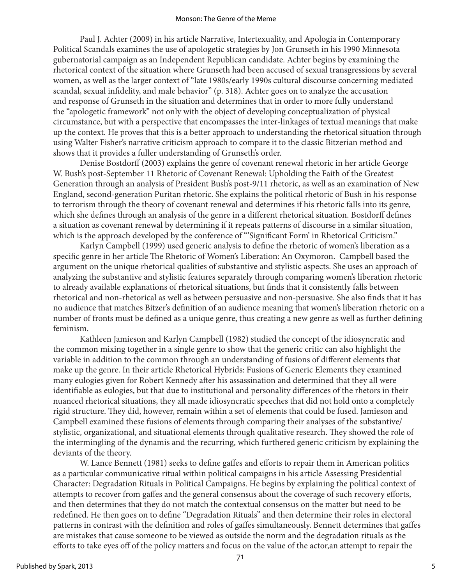#### Monson: The Genre of the Meme

Paul J. Achter (2009) in his article Narrative, Intertexuality, and Apologia in Contemporary Political Scandals examines the use of apologetic strategies by Jon Grunseth in his 1990 Minnesota gubernatorial campaign as an Independent Republican candidate. Achter begins by examining the rhetorical context of the situation where Grunseth had been accused of sexual transgressions by several women, as well as the larger context of "late 1980s/early 1990s cultural discourse concerning mediated scandal, sexual infidelity, and male behavior" (p. 318). Achter goes on to analyze the accusation and response of Grunseth in the situation and determines that in order to more fully understand the "apologetic framework" not only with the object of developing conceptualization of physical circumstance, but with a perspective that encompasses the inter-linkages of textual meanings that make up the context. He proves that this is a better approach to understanding the rhetorical situation through using Walter Fisher's narrative criticism approach to compare it to the classic Bitzerian method and shows that it provides a fuller understanding of Grunseth's order.

Denise Bostdorff (2003) explains the genre of covenant renewal rhetoric in her article George W. Bush's post-September 11 Rhetoric of Covenant Renewal: Upholding the Faith of the Greatest Generation through an analysis of President Bush's post-9/11 rhetoric, as well as an examination of New England, second-generation Puritan rhetoric. She explains the political rhetoric of Bush in his response to terrorism through the theory of covenant renewal and determines if his rhetoric falls into its genre, which she defines through an analysis of the genre in a different rhetorical situation. Bostdorff defines a situation as covenant renewal by determining if it repeats patterns of discourse in a similar situation, which is the approach developed by the conference of "Significant Form' in Rhetorical Criticism."

Karlyn Campbell (1999) used generic analysis to define the rhetoric of women's liberation as a specific genre in her article The Rhetoric of Women's Liberation: An Oxymoron. Campbell based the argument on the unique rhetorical qualities of substantive and stylistic aspects. She uses an approach of analyzing the substantive and stylistic features separately through comparing women's liberation rhetoric to already available explanations of rhetorical situations, but finds that it consistently falls between rhetorical and non-rhetorical as well as between persuasive and non-persuasive. She also finds that it has no audience that matches Bitzer's definition of an audience meaning that women's liberation rhetoric on a number of fronts must be defined as a unique genre, thus creating a new genre as well as further defining feminism.

Kathleen Jamieson and Karlyn Campbell (1982) studied the concept of the idiosyncratic and the common mixing together in a single genre to show that the generic critic can also highlight the variable in addition to the common through an understanding of fusions of different elements that make up the genre. In their article Rhetorical Hybrids: Fusions of Generic Elements they examined many eulogies given for Robert Kennedy after his assassination and determined that they all were identifiable as eulogies, but that due to institutional and personality differences of the rhetors in their nuanced rhetorical situations, they all made idiosyncratic speeches that did not hold onto a completely rigid structure. They did, however, remain within a set of elements that could be fused. Jamieson and Campbell examined these fusions of elements through comparing their analyses of the substantive/ stylistic, organizational, and situational elements through qualitative research. They showed the role of the intermingling of the dynamis and the recurring, which furthered generic criticism by explaining the deviants of the theory.

W. Lance Bennett (1981) seeks to define gaffes and efforts to repair them in American politics as a particular communicative ritual within political campaigns in his article Assessing Presidential Character: Degradation Rituals in Political Campaigns. He begins by explaining the political context of attempts to recover from gaffes and the general consensus about the coverage of such recovery efforts, and then determines that they do not match the contextual consensus on the matter but need to be redefined. He then goes on to define "Degradation Rituals" and then determine their roles in electoral patterns in contrast with the definition and roles of gaffes simultaneously. Bennett determines that gaffes are mistakes that cause someone to be viewed as outside the norm and the degradation rituals as the efforts to take eyes off of the policy matters and focus on the value of the actor,an attempt to repair the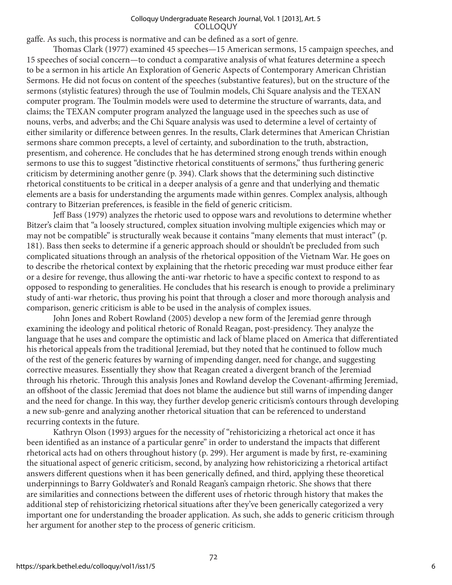gaffe. As such, this process is normative and can be defined as a sort of genre.

Thomas Clark (1977) examined 45 speeches—15 American sermons, 15 campaign speeches, and 15 speeches of social concern—to conduct a comparative analysis of what features determine a speech to be a sermon in his article An Exploration of Generic Aspects of Contemporary American Christian Sermons. He did not focus on content of the speeches (substantive features), but on the structure of the sermons (stylistic features) through the use of Toulmin models, Chi Square analysis and the TEXAN computer program. The Toulmin models were used to determine the structure of warrants, data, and claims; the TEXAN computer program analyzed the language used in the speeches such as use of nouns, verbs, and adverbs; and the Chi Square analysis was used to determine a level of certainty of either similarity or difference between genres. In the results, Clark determines that American Christian sermons share common precepts, a level of certainty, and subordination to the truth, abstraction, presentism, and coherence. He concludes that he has determined strong enough trends within enough sermons to use this to suggest "distinctive rhetorical constituents of sermons," thus furthering generic criticism by determining another genre (p. 394). Clark shows that the determining such distinctive rhetorical constituents to be critical in a deeper analysis of a genre and that underlying and thematic elements are a basis for understanding the arguments made within genres. Complex analysis, although contrary to Bitzerian preferences, is feasible in the field of generic criticism.

Jeff Bass (1979) analyzes the rhetoric used to oppose wars and revolutions to determine whether Bitzer's claim that "a loosely structured, complex situation involving multiple exigencies which may or may not be compatible" is structurally weak because it contains "many elements that must interact" (p. 181). Bass then seeks to determine if a generic approach should or shouldn't be precluded from such complicated situations through an analysis of the rhetorical opposition of the Vietnam War. He goes on to describe the rhetorical context by explaining that the rhetoric preceding war must produce either fear or a desire for revenge, thus allowing the anti-war rhetoric to have a specific context to respond to as opposed to responding to generalities. He concludes that his research is enough to provide a preliminary study of anti-war rhetoric, thus proving his point that through a closer and more thorough analysis and comparison, generic criticism is able to be used in the analysis of complex issues.

John Jones and Robert Rowland (2005) develop a new form of the Jeremiad genre through examining the ideology and political rhetoric of Ronald Reagan, post-presidency. They analyze the language that he uses and compare the optimistic and lack of blame placed on America that differentiated his rhetorical appeals from the traditional Jeremiad, but they noted that he continued to follow much of the rest of the generic features by warning of impending danger, need for change, and suggesting corrective measures. Essentially they show that Reagan created a divergent branch of the Jeremiad through his rhetoric. Through this analysis Jones and Rowland develop the Covenant-affirming Jeremiad, an offshoot of the classic Jeremiad that does not blame the audience but still warns of impending danger and the need for change. In this way, they further develop generic criticism's contours through developing a new sub-genre and analyzing another rhetorical situation that can be referenced to understand recurring contexts in the future.

Kathryn Olson (1993) argues for the necessity of "rehistoricizing a rhetorical act once it has been identified as an instance of a particular genre" in order to understand the impacts that different rhetorical acts had on others throughout history (p. 299). Her argument is made by first, re-examining the situational aspect of generic criticism, second, by analyzing how rehistoricizing a rhetorical artifact answers different questions when it has been generically defined, and third, applying these theoretical underpinnings to Barry Goldwater's and Ronald Reagan's campaign rhetoric. She shows that there are similarities and connections between the different uses of rhetoric through history that makes the additional step of rehistoricizing rhetorical situations after they've been generically categorized a very important one for understanding the broader application. As such, she adds to generic criticism through her argument for another step to the process of generic criticism.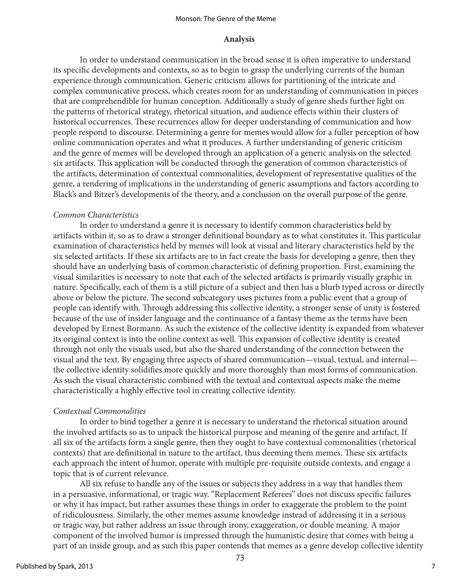#### Monson: The Genre of the Meme

#### **Analysis**

In order to understand communication in the broad sense it is often imperative to understand its specific developments and contexts, so as to begin to grasp the underlying currents of the human experience through communication. Generic criticism allows for partitioning of the intricate and complex communicative process, which creates room for an understanding of communication in pieces that are comprehendible for human conception. Additionally a study of genre sheds further light on the patterns of rhetorical strategy, rhetorical situation, and audience effects within their clusters of historical occurrences. These recurrences allow for deeper understanding of communication and how people respond to discourse. Determining a genre for memes would allow for a fuller perception of how online communication operates and what it produces. A further understanding of generic criticism and the genre of memes will be developed through an application of a generic analysis on the selected six artifacts. This application will be conducted through the generation of common characteristics of the artifacts, determination of contextual commonalities, development of representative qualities of the genre, a rendering of implications in the understanding of generic assumptions and factors according to Black's and Bitzer's developments of the theory, and a conclusion on the overall purpose of the genre.

#### *Common Characteristics*

In order to understand a genre it is necessary to identify common characteristics held by artifacts within it, so as to draw a stronger definitional boundary as to what constitutes it. This particular examination of characteristics held by memes will look at visual and literary characteristics held by the six selected artifacts. If these six artifacts are to in fact create the basis for developing a genre, then they should have an underlying basis of common characteristic of defining proportion. First, examining the visual similarities is necessary to note that each of the selected artifacts is primarily visually graphic in nature. Specifically, each of them is a still picture of a subject and then has a blurb typed across or directly above or below the picture. The second subcategory uses pictures from a public event that a group of people can identify with. Through addressing this collective identity, a stronger sense of unity is fostered because of the use of insider language and the continuance of a fantasy theme as the terms have been developed by Ernest Bormann. As such the existence of the collective identity is expanded from whatever its original context is into the online context as well. This expansion of collective identity is created through not only the visuals used, but also the shared understanding of the connection between the visual and the text. By engaging three aspects of shared communication—visual, textual, and internal the collective identity solidifies more quickly and more thoroughly than most forms of communication. As such the visual characteristic combined with the textual and contextual aspects make the meme characteristically a highly effective tool in creating collective identity.

# *Contextual Commonalities*

In order to bind together a genre it is necessary to understand the rhetorical situation around the involved artifacts so as to unpack the historical purpose and meaning of the genre and artifact. If all six of the artifacts form a single genre, then they ought to have contextual commonalities (rhetorical contexts) that are definitional in nature to the artifact, thus deeming them memes. These six artifacts each approach the intent of humor, operate with multiple pre-requisite outside contexts, and engage a topic that is of current relevance.

All six refuse to handle any of the issues or subjects they address in a way that handles them in a persuasive, informational, or tragic way. "Replacement Referees" does not discuss specific failures or why it has impact, but rather assumes these things in order to exaggerate the problem to the point of ridiculousness. Similarly, the other memes assume knowledge instead of addressing it in a serious or tragic way, but rather address an issue through irony, exaggeration, or double meaning. A major component of the involved humor is impressed through the humanistic desire that comes with being a part of an inside group, and as such this paper contends that memes as a genre develop collective identity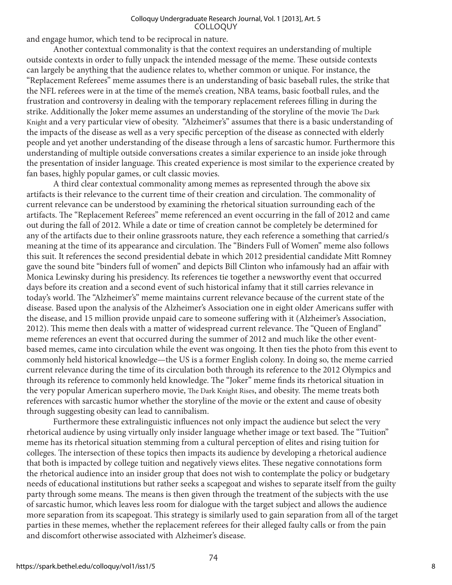and engage humor, which tend to be reciprocal in nature.

Another contextual commonality is that the context requires an understanding of multiple outside contexts in order to fully unpack the intended message of the meme. These outside contexts can largely be anything that the audience relates to, whether common or unique. For instance, the "Replacement Referees" meme assumes there is an understanding of basic baseball rules, the strike that the NFL referees were in at the time of the meme's creation, NBA teams, basic football rules, and the frustration and controversy in dealing with the temporary replacement referees filling in during the strike. Additionally the Joker meme assumes an understanding of the storyline of the movie The Dark Knight and a very particular view of obesity. "Alzheimer's" assumes that there is a basic understanding of the impacts of the disease as well as a very specific perception of the disease as connected with elderly people and yet another understanding of the disease through a lens of sarcastic humor. Furthermore this understanding of multiple outside conversations creates a similar experience to an inside joke through the presentation of insider language. This created experience is most similar to the experience created by fan bases, highly popular games, or cult classic movies.

A third clear contextual commonality among memes as represented through the above six artifacts is their relevance to the current time of their creation and circulation. The commonality of current relevance can be understood by examining the rhetorical situation surrounding each of the artifacts. The "Replacement Referees" meme referenced an event occurring in the fall of 2012 and came out during the fall of 2012. While a date or time of creation cannot be completely be determined for any of the artifacts due to their online grassroots nature, they each reference a something that carried/s meaning at the time of its appearance and circulation. The "Binders Full of Women" meme also follows this suit. It references the second presidential debate in which 2012 presidential candidate Mitt Romney gave the sound bite "binders full of women" and depicts Bill Clinton who infamously had an affair with Monica Lewinsky during his presidency. Its references tie together a newsworthy event that occurred days before its creation and a second event of such historical infamy that it still carries relevance in today's world. The "Alzheimer's" meme maintains current relevance because of the current state of the disease. Based upon the analysis of the Alzheimer's Association one in eight older Americans suffer with the disease, and 15 million provide unpaid care to someone suffering with it (Alzheimer's Association, 2012). This meme then deals with a matter of widespread current relevance. The "Queen of England" meme references an event that occurred during the summer of 2012 and much like the other eventbased memes, came into circulation while the event was ongoing. It then ties the photo from this event to commonly held historical knowledge—the US is a former English colony. In doing so, the meme carried current relevance during the time of its circulation both through its reference to the 2012 Olympics and through its reference to commonly held knowledge. The "Joker" meme finds its rhetorical situation in the very popular American superhero movie, The Dark Knight Rises, and obesity. The meme treats both references with sarcastic humor whether the storyline of the movie or the extent and cause of obesity through suggesting obesity can lead to cannibalism.

Furthermore these extralinguistic influences not only impact the audience but select the very rhetorical audience by using virtually only insider language whether image or text based. The "Tuition" meme has its rhetorical situation stemming from a cultural perception of elites and rising tuition for colleges. The intersection of these topics then impacts its audience by developing a rhetorical audience that both is impacted by college tuition and negatively views elites. These negative connotations form the rhetorical audience into an insider group that does not wish to contemplate the policy or budgetary needs of educational institutions but rather seeks a scapegoat and wishes to separate itself from the guilty party through some means. The means is then given through the treatment of the subjects with the use of sarcastic humor, which leaves less room for dialogue with the target subject and allows the audience more separation from its scapegoat. This strategy is similarly used to gain separation from all of the target parties in these memes, whether the replacement referees for their alleged faulty calls or from the pain and discomfort otherwise associated with Alzheimer's disease.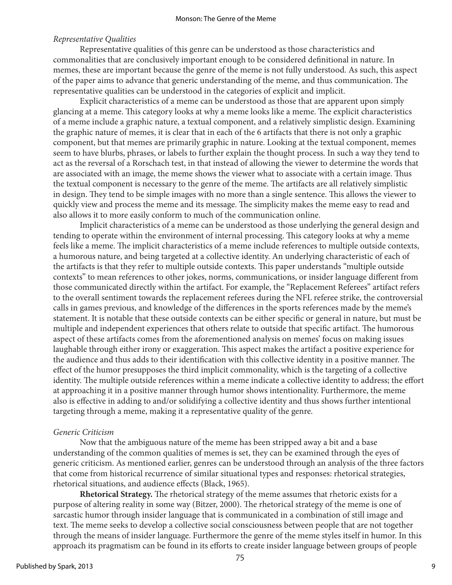# *Representative Qualities*

Representative qualities of this genre can be understood as those characteristics and commonalities that are conclusively important enough to be considered definitional in nature. In memes, these are important because the genre of the meme is not fully understood. As such, this aspect of the paper aims to advance that generic understanding of the meme, and thus communication. The representative qualities can be understood in the categories of explicit and implicit.

Explicit characteristics of a meme can be understood as those that are apparent upon simply glancing at a meme. This category looks at why a meme looks like a meme. The explicit characteristics of a meme include a graphic nature, a textual component, and a relatively simplistic design. Examining the graphic nature of memes, it is clear that in each of the 6 artifacts that there is not only a graphic component, but that memes are primarily graphic in nature. Looking at the textual component, memes seem to have blurbs, phrases, or labels to further explain the thought process. In such a way they tend to act as the reversal of a Rorschach test, in that instead of allowing the viewer to determine the words that are associated with an image, the meme shows the viewer what to associate with a certain image. Thus the textual component is necessary to the genre of the meme. The artifacts are all relatively simplistic in design. They tend to be simple images with no more than a single sentence. This allows the viewer to quickly view and process the meme and its message. The simplicity makes the meme easy to read and also allows it to more easily conform to much of the communication online.

Implicit characteristics of a meme can be understood as those underlying the general design and tending to operate within the environment of internal processing. This category looks at why a meme feels like a meme. The implicit characteristics of a meme include references to multiple outside contexts, a humorous nature, and being targeted at a collective identity. An underlying characteristic of each of the artifacts is that they refer to multiple outside contexts. This paper understands "multiple outside contexts" to mean references to other jokes, norms, communications, or insider language different from those communicated directly within the artifact. For example, the "Replacement Referees" artifact refers to the overall sentiment towards the replacement referees during the NFL referee strike, the controversial calls in games previous, and knowledge of the differences in the sports references made by the meme's statement. It is notable that these outside contexts can be either specific or general in nature, but must be multiple and independent experiences that others relate to outside that specific artifact. The humorous aspect of these artifacts comes from the aforementioned analysis on memes' focus on making issues laughable through either irony or exaggeration. This aspect makes the artifact a positive experience for the audience and thus adds to their identification with this collective identity in a positive manner. The effect of the humor presupposes the third implicit commonality, which is the targeting of a collective identity. The multiple outside references within a meme indicate a collective identity to address; the effort at approaching it in a positive manner through humor shows intentionality. Furthermore, the meme also is effective in adding to and/or solidifying a collective identity and thus shows further intentional targeting through a meme, making it a representative quality of the genre.

# *Generic Criticism*

Now that the ambiguous nature of the meme has been stripped away a bit and a base understanding of the common qualities of memes is set, they can be examined through the eyes of generic criticism. As mentioned earlier, genres can be understood through an analysis of the three factors that come from historical recurrence of similar situational types and responses: rhetorical strategies, rhetorical situations, and audience effects (Black, 1965).

**Rhetorical Strategy.** The rhetorical strategy of the meme assumes that rhetoric exists for a purpose of altering reality in some way (Bitzer, 2000). The rhetorical strategy of the meme is one of sarcastic humor through insider language that is communicated in a combination of still image and text. The meme seeks to develop a collective social consciousness between people that are not together through the means of insider language. Furthermore the genre of the meme styles itself in humor. In this approach its pragmatism can be found in its efforts to create insider language between groups of people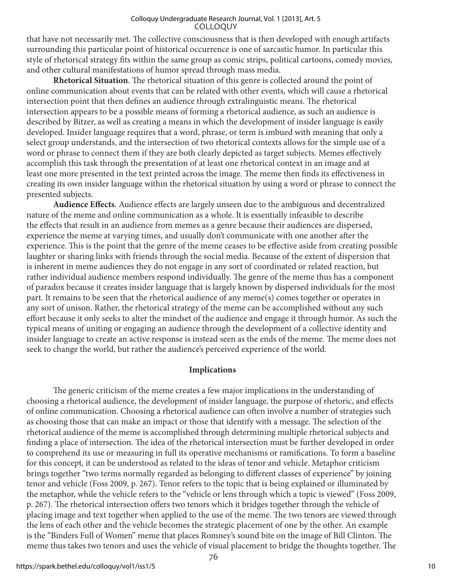that have not necessarily met. The collective consciousness that is then developed with enough artifacts surrounding this particular point of historical occurrence is one of sarcastic humor. In particular this style of rhetorical strategy fits within the same group as comic strips, political cartoons, comedy movies, and other cultural manifestations of humor spread through mass media.

**Rhetorical Situation**. The rhetorical situation of this genre is collected around the point of online communication about events that can be related with other events, which will cause a rhetorical intersection point that then defines an audience through extralinguistic means. The rhetorical intersection appears to be a possible means of forming a rhetorical audience, as such an audience is described by Bitzer, as well as creating a means in which the development of insider language is easily developed. Insider language requires that a word, phrase, or term is imbued with meaning that only a select group understands, and the intersection of two rhetorical contexts allows for the simple use of a word or phrase to connect them if they are both clearly depicted as target subjects. Memes effectively accomplish this task through the presentation of at least one rhetorical context in an image and at least one more presented in the text printed across the image. The meme then finds its effectiveness in creating its own insider language within the rhetorical situation by using a word or phrase to connect the presented subjects.

**Audience Effects**. Audience effects are largely unseen due to the ambiguous and decentralized nature of the meme and online communication as a whole. It is essentially infeasible to describe the effects that result in an audience from memes as a genre because their audiences are dispersed, experience the meme at varying times, and usually don't communicate with one another after the experience. This is the point that the genre of the meme ceases to be effective aside from creating possible laughter or sharing links with friends through the social media. Because of the extent of dispersion that is inherent in meme audiences they do not engage in any sort of coordinated or related reaction, but rather individual audience members respond individually. The genre of the meme thus has a component of paradox because it creates insider language that is largely known by dispersed individuals for the most part. It remains to be seen that the rhetorical audience of any meme(s) comes together or operates in any sort of unison. Rather, the rhetorical strategy of the meme can be accomplished without any such effort because it only seeks to alter the mindset of the audience and engage it through humor. As such the typical means of uniting or engaging an audience through the development of a collective identity and insider language to create an active response is instead seen as the ends of the meme. The meme does not seek to change the world, but rather the audience's perceived experience of the world.

# **Implications**

The generic criticism of the meme creates a few major implications in the understanding of choosing a rhetorical audience, the development of insider language, the purpose of rhetoric, and effects of online communication. Choosing a rhetorical audience can often involve a number of strategies such as choosing those that can make an impact or those that identify with a message. The selection of the rhetorical audience of the meme is accomplished through determining multiple rhetorical subjects and finding a place of intersection. The idea of the rhetorical intersection must be further developed in order to comprehend its use or measuring in full its operative mechanisms or ramifications. To form a baseline for this concept, it can be understood as related to the ideas of tenor and vehicle. Metaphor criticism brings together "two terms normally regarded as belonging to different classes of experience" by joining tenor and vehicle (Foss 2009, p. 267). Tenor refers to the topic that is being explained or illuminated by the metaphor, while the vehicle refers to the "vehicle or lens through which a topic is viewed" (Foss 2009, p. 267). The rhetorical intersection offers two tenors which it bridges together through the vehicle of placing image and text together when applied to the use of the meme. The two tenors are viewed through the lens of each other and the vehicle becomes the strategic placement of one by the other. An example is the "Binders Full of Women" meme that places Romney's sound bite on the image of Bill Clinton. The meme thus takes two tenors and uses the vehicle of visual placement to bridge the thoughts together. The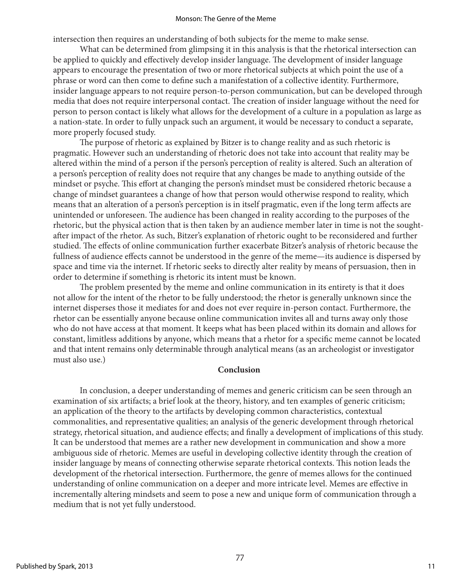#### Monson: The Genre of the Meme

intersection then requires an understanding of both subjects for the meme to make sense.

What can be determined from glimpsing it in this analysis is that the rhetorical intersection can be applied to quickly and effectively develop insider language. The development of insider language appears to encourage the presentation of two or more rhetorical subjects at which point the use of a phrase or word can then come to define such a manifestation of a collective identity. Furthermore, insider language appears to not require person-to-person communication, but can be developed through media that does not require interpersonal contact. The creation of insider language without the need for person to person contact is likely what allows for the development of a culture in a population as large as a nation-state. In order to fully unpack such an argument, it would be necessary to conduct a separate, more properly focused study.

The purpose of rhetoric as explained by Bitzer is to change reality and as such rhetoric is pragmatic. However such an understanding of rhetoric does not take into account that reality may be altered within the mind of a person if the person's perception of reality is altered. Such an alteration of a person's perception of reality does not require that any changes be made to anything outside of the mindset or psyche. This effort at changing the person's mindset must be considered rhetoric because a change of mindset guarantees a change of how that person would otherwise respond to reality, which means that an alteration of a person's perception is in itself pragmatic, even if the long term affects are unintended or unforeseen. The audience has been changed in reality according to the purposes of the rhetoric, but the physical action that is then taken by an audience member later in time is not the soughtafter impact of the rhetor. As such, Bitzer's explanation of rhetoric ought to be reconsidered and further studied. The effects of online communication further exacerbate Bitzer's analysis of rhetoric because the fullness of audience effects cannot be understood in the genre of the meme—its audience is dispersed by space and time via the internet. If rhetoric seeks to directly alter reality by means of persuasion, then in order to determine if something is rhetoric its intent must be known.

The problem presented by the meme and online communication in its entirety is that it does not allow for the intent of the rhetor to be fully understood; the rhetor is generally unknown since the internet disperses those it mediates for and does not ever require in-person contact. Furthermore, the rhetor can be essentially anyone because online communication invites all and turns away only those who do not have access at that moment. It keeps what has been placed within its domain and allows for constant, limitless additions by anyone, which means that a rhetor for a specific meme cannot be located and that intent remains only determinable through analytical means (as an archeologist or investigator must also use.)

# **Conclusion**

In conclusion, a deeper understanding of memes and generic criticism can be seen through an examination of six artifacts; a brief look at the theory, history, and ten examples of generic criticism; an application of the theory to the artifacts by developing common characteristics, contextual commonalities, and representative qualities; an analysis of the generic development through rhetorical strategy, rhetorical situation, and audience effects; and finally a development of implications of this study. It can be understood that memes are a rather new development in communication and show a more ambiguous side of rhetoric. Memes are useful in developing collective identity through the creation of insider language by means of connecting otherwise separate rhetorical contexts. This notion leads the development of the rhetorical intersection. Furthermore, the genre of memes allows for the continued understanding of online communication on a deeper and more intricate level. Memes are effective in incrementally altering mindsets and seem to pose a new and unique form of communication through a medium that is not yet fully understood.